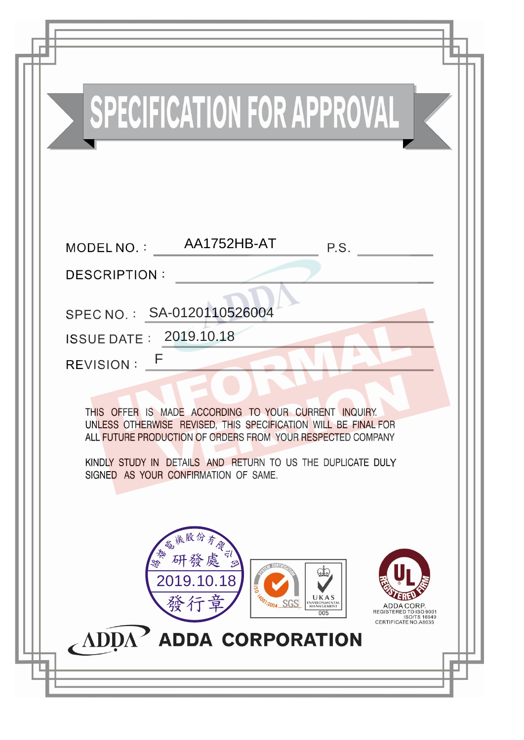| <b>SPECIFICATION FOR APPROVAL</b>                                                                                                                                                                                                                                                                                       |
|-------------------------------------------------------------------------------------------------------------------------------------------------------------------------------------------------------------------------------------------------------------------------------------------------------------------------|
| MODEL NO.: AA1752HB-AT<br>P.S.<br><b>DESCRIPTION:</b>                                                                                                                                                                                                                                                                   |
| SPEC NO.: SA-0120110526004                                                                                                                                                                                                                                                                                              |
| <b>ISSUE DATE: 2019.10.18</b>                                                                                                                                                                                                                                                                                           |
| REVISION: F<br>THIS OFFER IS MADE ACCORDING TO YOUR CURRENT INQUIRY.<br>UNLESS OTHERWISE REVISED, THIS SPECIFICATION WILL BE FINAL FOR<br>ALL FUTURE PRODUCTION OF ORDERS FROM YOUR RESPECTED COMPANY                                                                                                                   |
| KINDLY STUDY IN DETAILS AND RETURN TO US THE DUPLICATE DULY<br>SIGNED AS YOUR CONFIRMATION OF SAME.                                                                                                                                                                                                                     |
| 藏股份<br>霍乱叫<br>研發處<br>É<br>2019.10.18<br>$\overline{S}$<br>$\underset{\underset{\text{MANAGEMENTAL}}{\text{ENVIRONMENTAL}}} {\text{UNANGEMENTAL}}$<br><b>RODI:2004 SGS</b><br>ADDA CORP<br>REGISTERED TO ISO 9001<br>005<br>ISO/TS 16949<br>CERTIFICATE NO.A8035<br>$ADDA$ <sup><math>&gt;</math></sup> ADDA CORPORATION |
|                                                                                                                                                                                                                                                                                                                         |
|                                                                                                                                                                                                                                                                                                                         |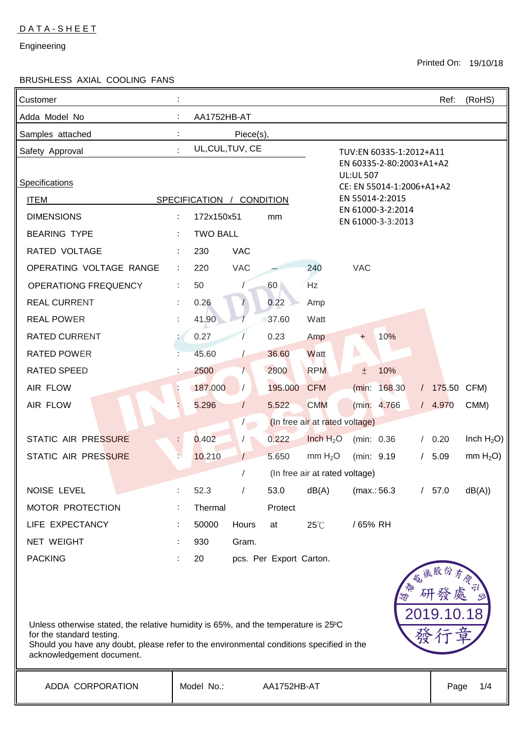## D A T A - S H E E T

Engineering

### BRUSHLESS AXIAL COOLING FANS

Printed On: 19/10/18

| Customer                                                                                                                                           |                      |                           |                |                         |                     |                                |                                                       |   | Ref:          | (RoHS)        |
|----------------------------------------------------------------------------------------------------------------------------------------------------|----------------------|---------------------------|----------------|-------------------------|---------------------|--------------------------------|-------------------------------------------------------|---|---------------|---------------|
| Adda Model No                                                                                                                                      |                      | AA1752HB-AT               |                |                         |                     |                                |                                                       |   |               |               |
| Samples attached                                                                                                                                   |                      |                           | Piece(s),      |                         |                     |                                |                                                       |   |               |               |
| Safety Approval                                                                                                                                    |                      | UL, CUL, TUV, CE          |                |                         |                     |                                | TUV:EN 60335-1:2012+A11                               |   |               |               |
| Specifications                                                                                                                                     |                      |                           |                |                         |                     | <b>UL:UL 507</b>               | EN 60335-2-80:2003+A1+A2<br>CE: EN 55014-1:2006+A1+A2 |   |               |               |
| <b>ITEM</b>                                                                                                                                        |                      | SPECIFICATION / CONDITION |                |                         |                     | EN 55014-2:2015                |                                                       |   |               |               |
| <b>DIMENSIONS</b>                                                                                                                                  |                      | 172x150x51                |                | mm                      |                     |                                | EN 61000-3-2:2014<br>EN 61000-3-3:2013                |   |               |               |
| <b>BEARING TYPE</b>                                                                                                                                |                      | <b>TWO BALL</b>           |                |                         |                     |                                |                                                       |   |               |               |
| RATED VOLTAGE                                                                                                                                      | $\ddot{\phantom{a}}$ | 230                       | <b>VAC</b>     |                         |                     |                                |                                                       |   |               |               |
| OPERATING VOLTAGE RANGE                                                                                                                            | $\ddot{\cdot}$       | 220                       | <b>VAC</b>     |                         | 240                 | <b>VAC</b>                     |                                                       |   |               |               |
| OPERATIONG FREQUENCY                                                                                                                               | ÷                    | 50                        |                | 60                      | <b>Hz</b>           |                                |                                                       |   |               |               |
| <b>REAL CURRENT</b>                                                                                                                                |                      | 0.26                      |                | 0.22                    | Amp                 |                                |                                                       |   |               |               |
| <b>REAL POWER</b>                                                                                                                                  |                      | 41.90                     |                | 37.60                   | Watt                |                                |                                                       |   |               |               |
| <b>RATED CURRENT</b>                                                                                                                               |                      | 0.27                      |                | 0.23                    | Amp                 | $+$                            | 10%                                                   |   |               |               |
| <b>RATED POWER</b>                                                                                                                                 |                      | 45.60                     |                | 36.60                   | Watt                | A                              |                                                       |   |               |               |
| <b>RATED SPEED</b>                                                                                                                                 |                      | 2500                      | $\sqrt{2}$     | 2800                    | <b>RPM</b>          | $\pm$                          | 10%                                                   |   |               |               |
| AIR FLOW                                                                                                                                           |                      | 187,000                   |                | 195.000                 | <b>CFM</b>          |                                | (min: 168.30                                          |   | / 175.50 CFM) |               |
| AIR FLOW                                                                                                                                           |                      | 5.296                     | $\overline{1}$ | 5.522                   | <b>CMM</b>          |                                | (min: 4.766                                           |   | / 4.970       | CMM)          |
|                                                                                                                                                    |                      |                           | $\sqrt{2}$     |                         |                     | (In free air at rated voltage) |                                                       |   |               |               |
| STATIC AIR PRESSURE                                                                                                                                | $\ddot{\cdot}$       | 0.402                     | $\sqrt{2}$     | 0.222                   | Inch $H_2O$         |                                | (min: 0.36                                            |   | / 0.20        | Inch $H_2O$ ) |
| STATIC AIR PRESSURE                                                                                                                                |                      | 10.210                    | $\sqrt{2}$     | 5.650                   | mm H <sub>2</sub> O |                                | (min: 9.19                                            |   | / 5.09        | $mm H2O$ )    |
|                                                                                                                                                    |                      |                           | $\sqrt{2}$     |                         |                     | (In free air at rated voltage) |                                                       |   |               |               |
| NOISE LEVEL                                                                                                                                        |                      | 52.3                      | $\sqrt{2}$     | 53.0                    | dB(A)               |                                | (max.: 56.3                                           |   | / 57.0        | dB(A)         |
| MOTOR PROTECTION                                                                                                                                   |                      | Thermal                   |                | Protect                 |                     |                                |                                                       |   |               |               |
| LIFE EXPECTANCY                                                                                                                                    |                      | 50000                     | Hours          | at                      | $25^{\circ}$ C      | /65% RH                        |                                                       |   |               |               |
| <b>NET WEIGHT</b>                                                                                                                                  |                      | 930                       | Gram.          |                         |                     |                                |                                                       |   |               |               |
| <b>PACKING</b>                                                                                                                                     |                      | 20                        |                | pcs. Per Export Carton. |                     |                                |                                                       |   |               |               |
|                                                                                                                                                    |                      |                           |                |                         |                     |                                |                                                       |   |               |               |
|                                                                                                                                                    |                      |                           |                |                         |                     |                                | 修修                                                    | 研 |               |               |
| Unless otherwise stated, the relative humidity is 65%, and the temperature is 25°C                                                                 |                      |                           |                |                         |                     |                                |                                                       |   | 2019.10.18    |               |
| for the standard testing.<br>Should you have any doubt, please refer to the environmental conditions specified in the<br>acknowledgement document. |                      |                           |                |                         |                     |                                |                                                       |   |               |               |
| ADDA CORPORATION                                                                                                                                   |                      | Model No.:                |                | AA1752HB-AT             |                     |                                |                                                       |   | Page          | 1/4           |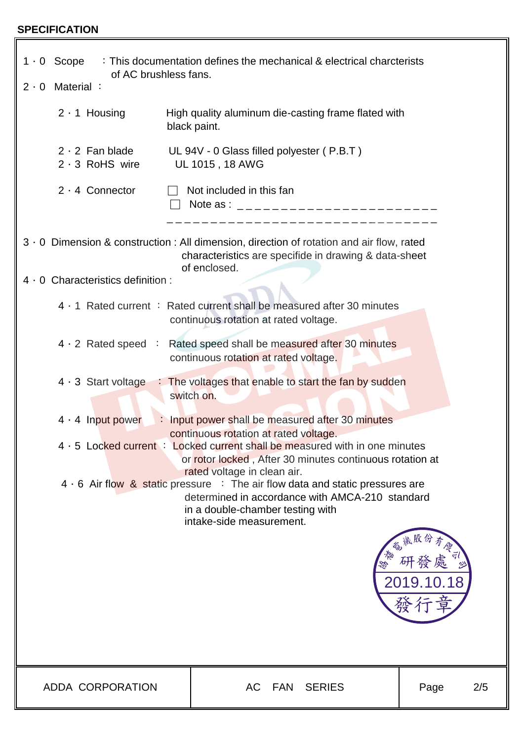# **SPECIFICATION**

發行章

| $1 \cdot 0$ Scope                               | : This documentation defines the mechanical & electrical charcterists                                                                                                                                                                                                                                                              |                       |
|-------------------------------------------------|------------------------------------------------------------------------------------------------------------------------------------------------------------------------------------------------------------------------------------------------------------------------------------------------------------------------------------|-----------------------|
| of AC brushless fans.<br>$2 \cdot 0$ Material : |                                                                                                                                                                                                                                                                                                                                    |                       |
| $2 \cdot 1$ Housing                             | High quality aluminum die-casting frame flated with<br>black paint.                                                                                                                                                                                                                                                                |                       |
| $2 \cdot 2$ Fan blade<br>$2 \cdot 3$ RoHS wire  | UL 94V - 0 Glass filled polyester (P.B.T)<br>UL 1015, 18 AWG                                                                                                                                                                                                                                                                       |                       |
| $2 \cdot 4$ Connector                           | Not included in this fan<br>Note as : $\frac{1}{2}$ = $\frac{1}{2}$ = $\frac{1}{2}$ = $\frac{1}{2}$ = $\frac{1}{2}$ = $\frac{1}{2}$ = $\frac{1}{2}$ = $\frac{1}{2}$ = $\frac{1}{2}$ = $\frac{1}{2}$ = $\frac{1}{2}$ = $\frac{1}{2}$ = $\frac{1}{2}$ = $\frac{1}{2}$ = $\frac{1}{2}$ = $\frac{1}{2}$ = $\frac{1}{2}$ = $\frac{1}{2$ |                       |
|                                                 | $3 \cdot 0$ Dimension & construction : All dimension, direction of rotation and air flow, rated<br>characteristics are specifide in drawing & data-sheet<br>of enclosed.                                                                                                                                                           |                       |
| $4 \cdot 0$ Characteristics definition :        |                                                                                                                                                                                                                                                                                                                                    |                       |
|                                                 | $4 \cdot 1$ Rated current : Rated current shall be measured after 30 minutes<br>continuous rotation at rated voltage.                                                                                                                                                                                                              |                       |
|                                                 | $4 \cdot 2$ Rated speed : Rated speed shall be measured after 30 minutes<br>continuous rotation at rated voltage.                                                                                                                                                                                                                  |                       |
| $4 \cdot 3$ Start voltage                       | : The voltages that enable to start the fan by sudden<br>switch on.                                                                                                                                                                                                                                                                |                       |
| $4 \cdot 4$ Input power                         | : Input power shall be measured after 30 minutes                                                                                                                                                                                                                                                                                   |                       |
|                                                 | continuous rotation at rated voltage.<br>4 · 5 Locked current: Locked current shall be measured with in one minutes                                                                                                                                                                                                                |                       |
|                                                 | or rotor locked, After 30 minutes continuous rotation at<br>rated voltage in clean air.                                                                                                                                                                                                                                            |                       |
|                                                 | $4 \cdot 6$ Air flow & static pressure : The air flow data and static pressures are                                                                                                                                                                                                                                                |                       |
|                                                 | determined in accordance with AMCA-210 standard<br>in a double-chamber testing with                                                                                                                                                                                                                                                |                       |
|                                                 | intake-side measurement.                                                                                                                                                                                                                                                                                                           |                       |
|                                                 |                                                                                                                                                                                                                                                                                                                                    | 研發<br>2019.10.18<br>發 |
| ADDA CORPORATION                                | <b>FAN</b><br>AC<br><b>SERIES</b>                                                                                                                                                                                                                                                                                                  | 2/5<br>Page           |
|                                                 |                                                                                                                                                                                                                                                                                                                                    |                       |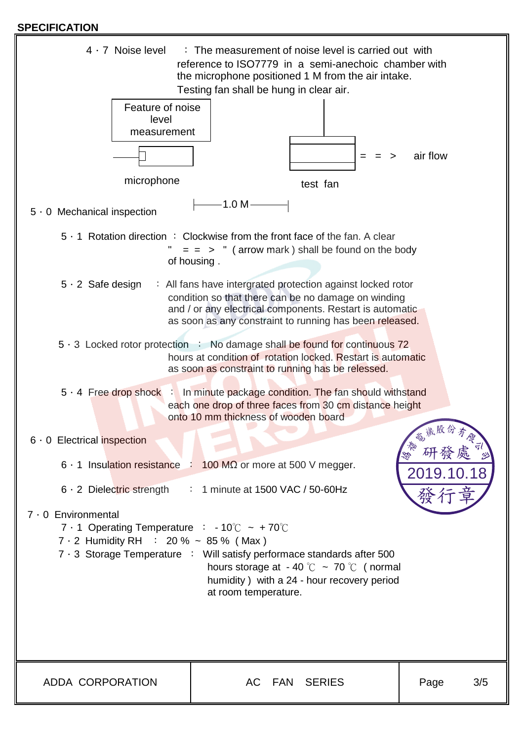## **SPECIFICATION**

| $4 \cdot 7$ Noise level<br>Feature of noise<br>level<br>measurement<br>microphone                                                                                                                                | : The measurement of noise level is carried out with<br>reference to ISO7779 in a semi-anechoic chamber with<br>the microphone positioned 1 M from the air intake.<br>Testing fan shall be hung in clear air.                                                                                                                                                 | test fan                                                                                     | air flow<br>$=$ $\geq$     |
|------------------------------------------------------------------------------------------------------------------------------------------------------------------------------------------------------------------|---------------------------------------------------------------------------------------------------------------------------------------------------------------------------------------------------------------------------------------------------------------------------------------------------------------------------------------------------------------|----------------------------------------------------------------------------------------------|----------------------------|
| $5 \cdot 0$ Mechanical inspection                                                                                                                                                                                | $-1.0 M$ $-$                                                                                                                                                                                                                                                                                                                                                  |                                                                                              |                            |
| $5 \cdot 1$ Rotation direction : Clockwise from the front face of the fan. A clear                                                                                                                               | $=$ $\ge$ $\degree$ (arrow mark) shall be found on the body<br>of housing.                                                                                                                                                                                                                                                                                    |                                                                                              |                            |
| $5 \cdot 2$ Safe design<br>$5 \cdot 3$ Locked rotor protection : No damage shall be found for continuous 72                                                                                                      | : All fans have intergrated protection against locked rotor<br>condition so that there can be no damage on winding<br>and / or any electrical components. Restart is automatic<br>as soon as any constraint to running has been released.<br>hours at condition of rotation locked. Restart is automatic<br>as soon as constraint to running has be relessed. |                                                                                              |                            |
| $5 \cdot 4$ Free drop shock                                                                                                                                                                                      | : In minute package condition. The fan should withstand<br>each one drop of three faces from 30 cm distance height<br>onto 10 mm thickness of wooden board                                                                                                                                                                                                    |                                                                                              |                            |
| $6 \cdot 0$ Electrical inspection                                                                                                                                                                                |                                                                                                                                                                                                                                                                                                                                                               |                                                                                              | 高微股份方                      |
| 6 $\cdot$ 1 Insulation resistance : 100 M $\Omega$ or more at 500 V megger.                                                                                                                                      |                                                                                                                                                                                                                                                                                                                                                               |                                                                                              | 130 MB<br>研智<br>2019.10.18 |
| $6 \cdot 2$ Dielectric strength : 1 minute at 1500 VAC / 50-60Hz                                                                                                                                                 |                                                                                                                                                                                                                                                                                                                                                               |                                                                                              |                            |
| $7 \cdot 0$ Environmental<br>7 · 1 Operating Temperature : -10 $\degree$ C ~ +70 $\degree$ C<br>7 · 2 Humidity RH : 20 % ~ 85 % (Max)<br>7 · 3 Storage Temperature : Will satisfy performace standards after 500 | at room temperature.                                                                                                                                                                                                                                                                                                                                          | hours storage at $-40$ °C $\sim$ 70 °C (normal<br>humidity) with a 24 - hour recovery period |                            |
| ADDA CORPORATION                                                                                                                                                                                                 | FAN<br>AC                                                                                                                                                                                                                                                                                                                                                     | <b>SERIES</b>                                                                                | 3/5<br>Page                |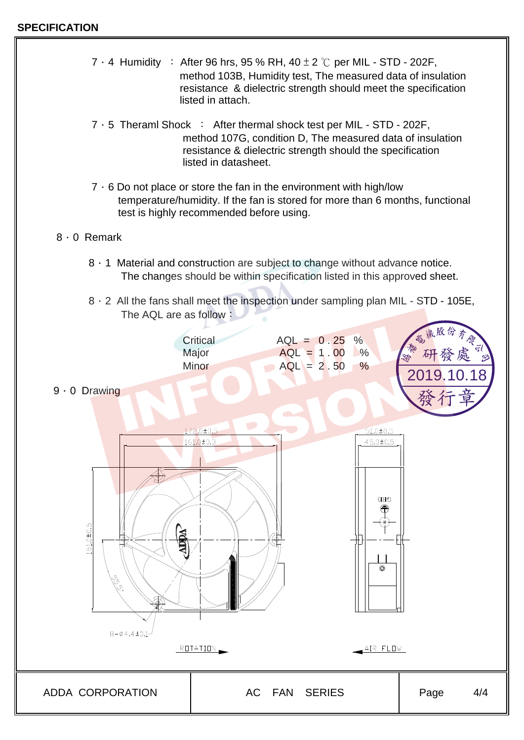- 7.4 Humidity : After 96 hrs, 95 % RH,  $40 \pm 2$  °C per MIL STD 202F, method 103B, Humidity test, The measured data of insulation resistance & dielectric strength should meet the specification listed in attach.
- $7 \cdot 5$  Theraml Shock : After thermal shock test per MIL STD 202F, method 107G, condition D, The measured data of insulation resistance & dielectric strength should the specification listed in datasheet.
- $7 \cdot 6$  Do not place or store the fan in the environment with high/low temperature/humidity. If the fan is stored for more than 6 months, functional test is highly recommended before using.

#### 8.0 Remark

- $8 \cdot 1$  Material and construction are subject to change without advance notice. The changes should be within specification listed in this approved sheet.
- $8 \cdot 2$  All the fans shall meet the inspection under sampling plan MIL STD 105E, The AQL are as follow:

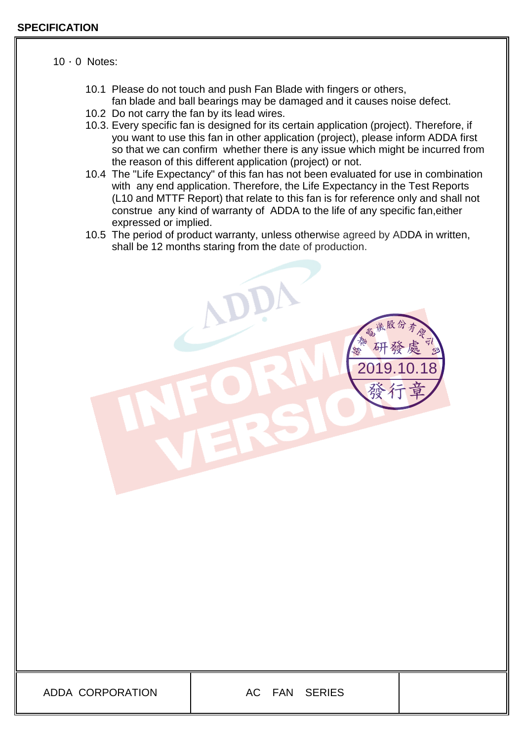#### $10 \cdot 0$  Notes:

- 10.1 Please do not touch and push Fan Blade with fingers or others, fan blade and ball bearings may be damaged and it causes noise defect.
- 10.2 Do not carry the fan by its lead wires.
- 10.3. Every specific fan is designed for its certain application (project). Therefore, if you want to use this fan in other application (project), please inform ADDA first so that we can confirm whether there is any issue which might be incurred from the reason of this different application (project) or not.
- 10.4 The "Life Expectancy" of this fan has not been evaluated for use in combination with any end application. Therefore, the Life Expectancy in the Test Reports (L10 and MTTF Report) that relate to this fan is for reference only and shall not construe any kind of warranty of ADDA to the life of any specific fan,either expressed or implied.
- 10.5 The period of product warranty, unless otherwise agreed by ADDA in written, shall be 12 months staring from the date of production.

研發處

2019.10.18

發行章